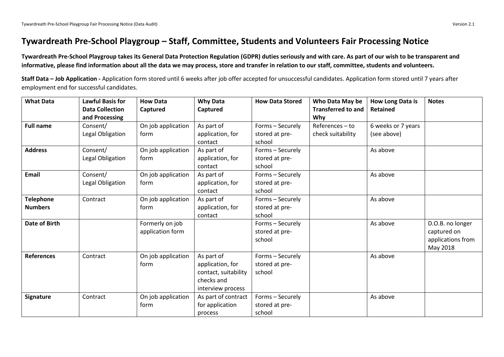# **Tywardreath Pre-School Playgroup – Staff, Committee, Students and Volunteers Fair Processing Notice**

**Tywardreath Pre-School Playgroup takes its General Data Protection Regulation (GDPR) duties seriously and with care. As part of our wish to be transparent and informative, please find information about all the data we may process, store and transfer in relation to our staff, committee, students and volunteers.**

**Staff Data – Job Application -** Application form stored until 6 weeks after job offer accepted for unsuccessful candidates. Application form stored until 7 years after employment end for successful candidates.

| <b>What Data</b>  | <b>Lawful Basis for</b> | <b>How Data</b>    | <b>Why Data</b>      | <b>How Data Stored</b> | Who Data May be           | How Long Data is   | <b>Notes</b>      |
|-------------------|-------------------------|--------------------|----------------------|------------------------|---------------------------|--------------------|-------------------|
|                   | <b>Data Collection</b>  | Captured           | Captured             |                        | <b>Transferred to and</b> | <b>Retained</b>    |                   |
|                   | and Processing          |                    |                      |                        | Why                       |                    |                   |
| <b>Full name</b>  | Consent/                | On job application | As part of           | Forms - Securely       | $References - to$         | 6 weeks or 7 years |                   |
|                   | Legal Obligation        | form               | application, for     | stored at pre-         | check suitability         | (see above)        |                   |
|                   |                         |                    | contact              | school                 |                           |                    |                   |
| <b>Address</b>    | Consent/                | On job application | As part of           | Forms - Securely       |                           | As above           |                   |
|                   | Legal Obligation        | form               | application, for     | stored at pre-         |                           |                    |                   |
|                   |                         |                    | contact              | school                 |                           |                    |                   |
| <b>Email</b>      | Consent/                | On job application | As part of           | Forms - Securely       |                           | As above           |                   |
|                   | Legal Obligation        | form               | application, for     | stored at pre-         |                           |                    |                   |
|                   |                         |                    | contact              | school                 |                           |                    |                   |
| <b>Telephone</b>  | Contract                | On job application | As part of           | Forms - Securely       |                           | As above           |                   |
| <b>Numbers</b>    |                         | form               | application, for     | stored at pre-         |                           |                    |                   |
|                   |                         |                    | contact              | school                 |                           |                    |                   |
| Date of Birth     |                         | Formerly on job    |                      | Forms - Securely       |                           | As above           | D.O.B. no longer  |
|                   |                         | application form   |                      | stored at pre-         |                           |                    | captured on       |
|                   |                         |                    |                      | school                 |                           |                    | applications from |
|                   |                         |                    |                      |                        |                           |                    | May 2018          |
| <b>References</b> | Contract                | On job application | As part of           | Forms - Securely       |                           | As above           |                   |
|                   |                         | form               | application, for     | stored at pre-         |                           |                    |                   |
|                   |                         |                    | contact, suitability | school                 |                           |                    |                   |
|                   |                         |                    | checks and           |                        |                           |                    |                   |
|                   |                         |                    | interview process    |                        |                           |                    |                   |
| Signature         | Contract                | On job application | As part of contract  | Forms - Securely       |                           | As above           |                   |
|                   |                         | form               | for application      | stored at pre-         |                           |                    |                   |
|                   |                         |                    | process              | school                 |                           |                    |                   |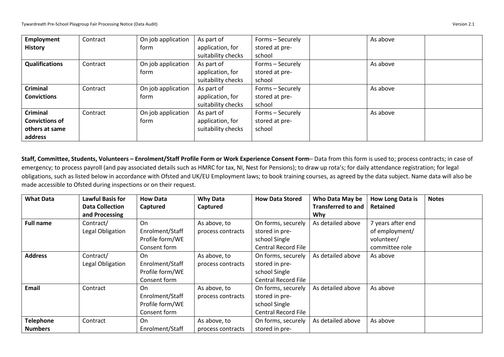| <b>Employment</b>     | Contract | On job application | As part of         | Forms - Securely | As above |  |
|-----------------------|----------|--------------------|--------------------|------------------|----------|--|
| <b>History</b>        |          | form               | application, for   | stored at pre-   |          |  |
|                       |          |                    | suitability checks | school           |          |  |
| <b>Qualifications</b> | Contract | On job application | As part of         | Forms - Securely | As above |  |
|                       |          | form               | application, for   | stored at pre-   |          |  |
|                       |          |                    | suitability checks | school           |          |  |
| <b>Criminal</b>       | Contract | On job application | As part of         | Forms - Securely | As above |  |
| <b>Convictions</b>    |          | form               | application, for   | stored at pre-   |          |  |
|                       |          |                    | suitability checks | school           |          |  |
| <b>Criminal</b>       | Contract | On job application | As part of         | Forms - Securely | As above |  |
| <b>Convictions of</b> |          | form               | application, for   | stored at pre-   |          |  |
| others at same        |          |                    | suitability checks | school           |          |  |
| address               |          |                    |                    |                  |          |  |

**Staff, Committee, Students, Volunteers – Enrolment/Staff Profile Form or Work Experience Consent Form**– Data from this form is used to; process contracts; in case of emergency; to process payroll (and pay associated details such as HMRC for tax, NI, Nest for Pensions); to draw up rota's; for daily attendance registration; for legal obligations, such as listed below in accordance with Ofsted and UK/EU Employment laws; to book training courses, as agreed by the data subject. Name data will also be made accessible to Ofsted during inspections or on their request.

| <b>What Data</b> | <b>Lawful Basis for</b> | <b>How Data</b> | <b>Why Data</b>   | <b>How Data Stored</b>     | Who Data May be           | How Long Data is  | <b>Notes</b> |
|------------------|-------------------------|-----------------|-------------------|----------------------------|---------------------------|-------------------|--------------|
|                  | <b>Data Collection</b>  | Captured        | Captured          |                            | <b>Transferred to and</b> | Retained          |              |
|                  | and Processing          |                 |                   |                            | Why                       |                   |              |
| <b>Full name</b> | Contract/               | On              | As above, to      | On forms, securely         | As detailed above         | 7 years after end |              |
|                  | Legal Obligation        | Enrolment/Staff | process contracts | stored in pre-             |                           | of employment/    |              |
|                  |                         | Profile form/WE |                   | school Single              |                           | volunteer/        |              |
|                  |                         | Consent form    |                   | Central Record File        |                           | committee role    |              |
| <b>Address</b>   | Contract/               | On              | As above, to      | On forms, securely         | As detailed above         | As above          |              |
|                  | Legal Obligation        | Enrolment/Staff | process contracts | stored in pre-             |                           |                   |              |
|                  |                         | Profile form/WE |                   | school Single              |                           |                   |              |
|                  |                         | Consent form    |                   | <b>Central Record File</b> |                           |                   |              |
| Email            | Contract                | On              | As above, to      | On forms, securely         | As detailed above         | As above          |              |
|                  |                         | Enrolment/Staff | process contracts | stored in pre-             |                           |                   |              |
|                  |                         | Profile form/WE |                   | school Single              |                           |                   |              |
|                  |                         | Consent form    |                   | <b>Central Record File</b> |                           |                   |              |
| <b>Telephone</b> | Contract                | On              | As above, to      | On forms, securely         | As detailed above         | As above          |              |
| <b>Numbers</b>   |                         | Enrolment/Staff | process contracts | stored in pre-             |                           |                   |              |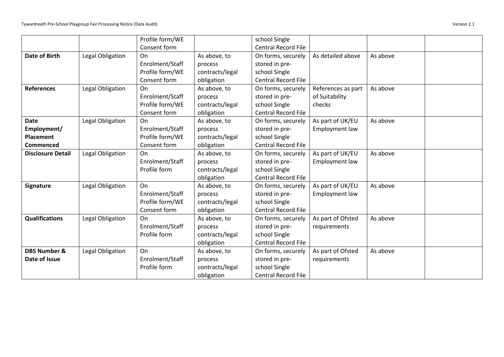|                          |                  | Profile form/WE |                 | school Single              |                    |          |  |
|--------------------------|------------------|-----------------|-----------------|----------------------------|--------------------|----------|--|
|                          |                  | Consent form    |                 | <b>Central Record File</b> |                    |          |  |
| <b>Date of Birth</b>     | Legal Obligation | On              | As above, to    | On forms, securely         | As detailed above  | As above |  |
|                          |                  | Enrolment/Staff | process         | stored in pre-             |                    |          |  |
|                          |                  | Profile form/WE | contracts/legal | school Single              |                    |          |  |
|                          |                  | Consent form    | obligation      | <b>Central Record File</b> |                    |          |  |
| <b>References</b>        | Legal Obligation | On              | As above, to    | On forms, securely         | References as part | As above |  |
|                          |                  | Enrolment/Staff | process         | stored in pre-             | of Suitability     |          |  |
|                          |                  | Profile form/WE | contracts/legal | school Single              | checks             |          |  |
|                          |                  | Consent form    | obligation      | Central Record File        |                    |          |  |
| <b>Date</b>              | Legal Obligation | On              | As above, to    | On forms, securely         | As part of UK/EU   | As above |  |
| Employment/              |                  | Enrolment/Staff | process         | stored in pre-             | Employment law     |          |  |
| <b>Placement</b>         |                  | Profile form/WE | contracts/legal | school Single              |                    |          |  |
| <b>Commenced</b>         |                  | Consent form    | obligation      | <b>Central Record File</b> |                    |          |  |
| <b>Disclosure Detail</b> | Legal Obligation | On              | As above, to    | On forms, securely         | As part of UK/EU   | As above |  |
|                          |                  | Enrolment/Staff | process         | stored in pre-             | Employment law     |          |  |
|                          |                  | Profile form    | contracts/legal | school Single              |                    |          |  |
|                          |                  |                 | obligation      | <b>Central Record File</b> |                    |          |  |
| <b>Signature</b>         | Legal Obligation | On              | As above, to    | On forms, securely         | As part of UK/EU   | As above |  |
|                          |                  | Enrolment/Staff | process         | stored in pre-             | Employment law     |          |  |
|                          |                  | Profile form/WE | contracts/legal | school Single              |                    |          |  |
|                          |                  | Consent form    | obligation      | <b>Central Record File</b> |                    |          |  |
| <b>Qualifications</b>    | Legal Obligation | On              | As above, to    | On forms, securely         | As part of Ofsted  | As above |  |
|                          |                  | Enrolment/Staff | process         | stored in pre-             | requirements       |          |  |
|                          |                  | Profile form    | contracts/legal | school Single              |                    |          |  |
|                          |                  |                 | obligation      | <b>Central Record File</b> |                    |          |  |
| <b>DBS Number &amp;</b>  | Legal Obligation | On              | As above, to    | On forms, securely         | As part of Ofsted  | As above |  |
| Date of Issue            |                  | Enrolment/Staff | process         | stored in pre-             | requirements       |          |  |
|                          |                  | Profile form    | contracts/legal | school Single              |                    |          |  |
|                          |                  |                 | obligation      | <b>Central Record File</b> |                    |          |  |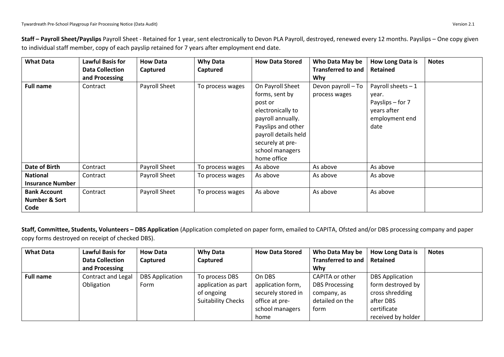| Staff - Payroll Sheet/Payslips Payroll Sheet - Retained for 1 year, sent electronically to Devon PLA Payroll, destroyed, renewed every 12 months. Payslips - One copy given |
|-----------------------------------------------------------------------------------------------------------------------------------------------------------------------------|
| to individual staff member, copy of each payslip retained for 7 years after employment end date.                                                                            |

| <b>What Data</b>        | <b>Lawful Basis for</b> | <b>How Data</b> | <b>Why Data</b>  | <b>How Data Stored</b> | Who Data May be           | How Long Data is    | <b>Notes</b> |
|-------------------------|-------------------------|-----------------|------------------|------------------------|---------------------------|---------------------|--------------|
|                         | <b>Data Collection</b>  | Captured        | Captured         |                        | <b>Transferred to and</b> | Retained            |              |
|                         | and Processing          |                 |                  |                        | <b>Why</b>                |                     |              |
| <b>Full name</b>        | Contract                | Payroll Sheet   | To process wages | On Payroll Sheet       | Devon payroll - To        | Payroll sheets $-1$ |              |
|                         |                         |                 |                  | forms, sent by         | process wages             | year.               |              |
|                         |                         |                 |                  | post or                |                           | Payslips – for 7    |              |
|                         |                         |                 |                  | electronically to      |                           | years after         |              |
|                         |                         |                 |                  | payroll annually.      |                           | employment end      |              |
|                         |                         |                 |                  | Payslips and other     |                           | date                |              |
|                         |                         |                 |                  | payroll details held   |                           |                     |              |
|                         |                         |                 |                  | securely at pre-       |                           |                     |              |
|                         |                         |                 |                  | school managers        |                           |                     |              |
|                         |                         |                 |                  | home office            |                           |                     |              |
| Date of Birth           | Contract                | Payroll Sheet   | To process wages | As above               | As above                  | As above            |              |
| <b>National</b>         | Contract                | Payroll Sheet   | To process wages | As above               | As above                  | As above            |              |
| <b>Insurance Number</b> |                         |                 |                  |                        |                           |                     |              |
| <b>Bank Account</b>     | Contract                | Payroll Sheet   | To process wages | As above               | As above                  | As above            |              |
| Number & Sort           |                         |                 |                  |                        |                           |                     |              |
| Code                    |                         |                 |                  |                        |                           |                     |              |

**Staff, Committee, Students, Volunteers – DBS Application** (Application completed on paper form, emailed to CAPITA, Ofsted and/or DBS processing company and paper copy forms destroyed on receipt of checked DBS).

| <b>What Data</b> | <b>Lawful Basis for</b>   | <b>How Data</b>        | <b>Why Data</b>           | <b>How Data Stored</b> | Who Data May be           | <b>How Long Data is</b> | <b>Notes</b> |
|------------------|---------------------------|------------------------|---------------------------|------------------------|---------------------------|-------------------------|--------------|
|                  | <b>Data Collection</b>    | Captured               | Captured                  |                        | <b>Transferred to and</b> | Retained                |              |
|                  | and Processing            |                        |                           |                        | Why                       |                         |              |
| <b>Full name</b> | <b>Contract and Legal</b> | <b>DBS Application</b> | To process DBS            | On DBS                 | CAPITA or other           | <b>DBS Application</b>  |              |
|                  | Obligation                | Form                   | application as part       | application form,      | <b>DBS Processing</b>     | form destroyed by       |              |
|                  |                           |                        | of ongoing                | securely stored in     | company, as               | cross shredding         |              |
|                  |                           |                        | <b>Suitability Checks</b> | office at pre-         | detailed on the           | after DBS               |              |
|                  |                           |                        |                           | school managers        | form                      | certificate             |              |
|                  |                           |                        |                           | home                   |                           | received by holder      |              |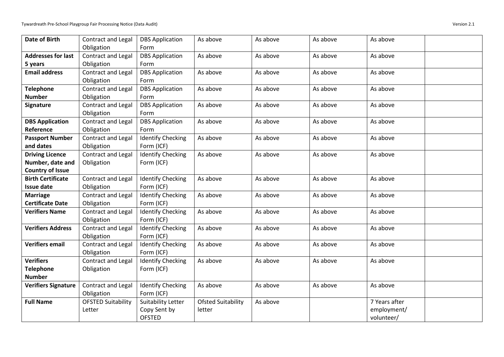| <b>Date of Birth</b>       | Contract and Legal        | <b>DBS Application</b>   | As above           | As above | As above | As above      |
|----------------------------|---------------------------|--------------------------|--------------------|----------|----------|---------------|
|                            | Obligation                | Form                     |                    |          |          |               |
| <b>Addresses for last</b>  | Contract and Legal        | <b>DBS Application</b>   | As above           | As above | As above | As above      |
| 5 years                    | Obligation                | Form                     |                    |          |          |               |
| <b>Email address</b>       | Contract and Legal        | <b>DBS Application</b>   | As above           | As above | As above | As above      |
|                            | Obligation                | Form                     |                    |          |          |               |
| <b>Telephone</b>           | <b>Contract and Legal</b> | <b>DBS Application</b>   | As above           | As above | As above | As above      |
| <b>Number</b>              | Obligation                | Form                     |                    |          |          |               |
| Signature                  | Contract and Legal        | <b>DBS Application</b>   | As above           | As above | As above | As above      |
|                            | Obligation                | Form                     |                    |          |          |               |
| <b>DBS Application</b>     | Contract and Legal        | <b>DBS Application</b>   | As above           | As above | As above | As above      |
| Reference                  | Obligation                | Form                     |                    |          |          |               |
| <b>Passport Number</b>     | Contract and Legal        | <b>Identify Checking</b> | As above           | As above | As above | As above      |
| and dates                  | Obligation                | Form (ICF)               |                    |          |          |               |
| <b>Driving Licence</b>     | Contract and Legal        | <b>Identify Checking</b> | As above           | As above | As above | As above      |
| Number, date and           | Obligation                | Form (ICF)               |                    |          |          |               |
| <b>Country of Issue</b>    |                           |                          |                    |          |          |               |
| <b>Birth Certificate</b>   | Contract and Legal        | <b>Identify Checking</b> | As above           | As above | As above | As above      |
| <b>Issue date</b>          | Obligation                | Form (ICF)               |                    |          |          |               |
| <b>Marriage</b>            | Contract and Legal        | <b>Identify Checking</b> | As above           | As above | As above | As above      |
| <b>Certificate Date</b>    | Obligation                | Form (ICF)               |                    |          |          |               |
| <b>Verifiers Name</b>      | Contract and Legal        | <b>Identify Checking</b> | As above           | As above | As above | As above      |
|                            | Obligation                | Form (ICF)               |                    |          |          |               |
| <b>Verifiers Address</b>   | Contract and Legal        | <b>Identify Checking</b> | As above           | As above | As above | As above      |
|                            | Obligation                | Form (ICF)               |                    |          |          |               |
| <b>Verifiers email</b>     | Contract and Legal        | <b>Identify Checking</b> | As above           | As above | As above | As above      |
|                            | Obligation                | Form (ICF)               |                    |          |          |               |
| <b>Verifiers</b>           | Contract and Legal        | <b>Identify Checking</b> | As above           | As above | As above | As above      |
| <b>Telephone</b>           | Obligation                | Form (ICF)               |                    |          |          |               |
| <b>Number</b>              |                           |                          |                    |          |          |               |
| <b>Verifiers Signature</b> | Contract and Legal        | <b>Identify Checking</b> | As above           | As above | As above | As above      |
|                            | Obligation                | Form (ICF)               |                    |          |          |               |
| <b>Full Name</b>           | <b>OFSTED Suitability</b> | Suitability Letter       | Ofsted Suitability | As above |          | 7 Years after |
|                            | Letter                    | Copy Sent by             | letter             |          |          | employment/   |
|                            |                           | <b>OFSTED</b>            |                    |          |          | volunteer/    |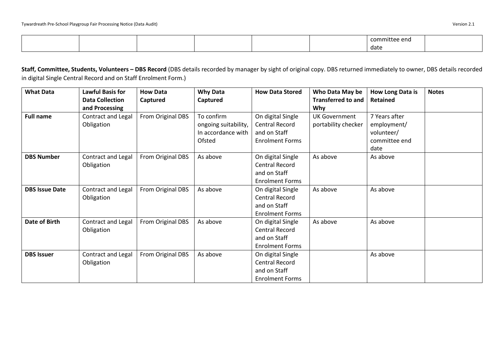|  |  |  | committee end |  |
|--|--|--|---------------|--|
|  |  |  | date          |  |

**Staff, Committee, Students, Volunteers – DBS Record** (DBS details recorded by manager by sight of original copy. DBS returned immediately to owner, DBS details recorded in digital Single Central Record and on Staff Enrolment Form.)

| <b>What Data</b>      | <b>Lawful Basis for</b>   | <b>How Data</b>   | <b>Why Data</b>      | <b>How Data Stored</b> | Who Data May be           | How Long Data is | <b>Notes</b> |
|-----------------------|---------------------------|-------------------|----------------------|------------------------|---------------------------|------------------|--------------|
|                       | <b>Data Collection</b>    | Captured          | Captured             |                        | <b>Transferred to and</b> | Retained         |              |
|                       | and Processing            |                   |                      |                        | <b>Why</b>                |                  |              |
| <b>Full name</b>      | <b>Contract and Legal</b> | From Original DBS | To confirm           | On digital Single      | <b>UK Government</b>      | 7 Years after    |              |
|                       | Obligation                |                   | ongoing suitability, | Central Record         | portability checker       | employment/      |              |
|                       |                           |                   | In accordance with   | and on Staff           |                           | volunteer/       |              |
|                       |                           |                   | Ofsted               | <b>Enrolment Forms</b> |                           | committee end    |              |
|                       |                           |                   |                      |                        |                           | date             |              |
| <b>DBS Number</b>     | Contract and Legal        | From Original DBS | As above             | On digital Single      | As above                  | As above         |              |
|                       | Obligation                |                   |                      | <b>Central Record</b>  |                           |                  |              |
|                       |                           |                   |                      | and on Staff           |                           |                  |              |
|                       |                           |                   |                      | <b>Enrolment Forms</b> |                           |                  |              |
| <b>DBS Issue Date</b> | Contract and Legal        | From Original DBS | As above             | On digital Single      | As above                  | As above         |              |
|                       | Obligation                |                   |                      | Central Record         |                           |                  |              |
|                       |                           |                   |                      | and on Staff           |                           |                  |              |
|                       |                           |                   |                      | <b>Enrolment Forms</b> |                           |                  |              |
| Date of Birth         | Contract and Legal        | From Original DBS | As above             | On digital Single      | As above                  | As above         |              |
|                       | Obligation                |                   |                      | <b>Central Record</b>  |                           |                  |              |
|                       |                           |                   |                      | and on Staff           |                           |                  |              |
|                       |                           |                   |                      | <b>Enrolment Forms</b> |                           |                  |              |
| <b>DBS Issuer</b>     | Contract and Legal        | From Original DBS | As above             | On digital Single      |                           | As above         |              |
|                       | Obligation                |                   |                      | <b>Central Record</b>  |                           |                  |              |
|                       |                           |                   |                      | and on Staff           |                           |                  |              |
|                       |                           |                   |                      | <b>Enrolment Forms</b> |                           |                  |              |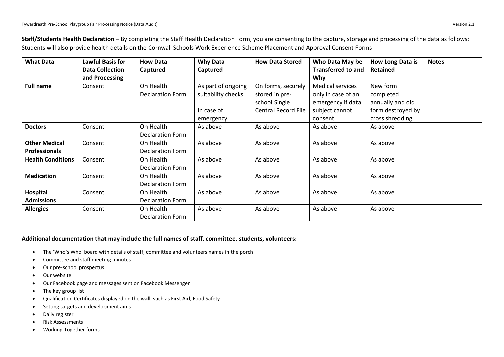| <b>What Data</b>                             | <b>Lawful Basis for</b><br><b>Data Collection</b><br>and Processing | <b>How Data</b><br>Captured          | <b>Why Data</b><br>Captured                                          | <b>How Data Stored</b>                                                              | Who Data May be<br><b>Transferred to and</b><br><b>Why</b>                                      | <b>How Long Data is</b><br><b>Retained</b>                                        | <b>Notes</b> |
|----------------------------------------------|---------------------------------------------------------------------|--------------------------------------|----------------------------------------------------------------------|-------------------------------------------------------------------------------------|-------------------------------------------------------------------------------------------------|-----------------------------------------------------------------------------------|--------------|
| <b>Full name</b>                             | Consent                                                             | On Health<br><b>Declaration Form</b> | As part of ongoing<br>suitability checks.<br>In case of<br>emergency | On forms, securely<br>stored in pre-<br>school Single<br><b>Central Record File</b> | <b>Medical services</b><br>only in case of an<br>emergency if data<br>subject cannot<br>consent | New form<br>completed<br>annually and old<br>form destroyed by<br>cross shredding |              |
| <b>Doctors</b>                               | Consent                                                             | On Health<br>Declaration Form        | As above                                                             | As above                                                                            | As above                                                                                        | As above                                                                          |              |
| <b>Other Medical</b><br><b>Professionals</b> | Consent                                                             | On Health<br>Declaration Form        | As above                                                             | As above                                                                            | As above                                                                                        | As above                                                                          |              |
| <b>Health Conditions</b>                     | Consent                                                             | On Health<br>Declaration Form        | As above                                                             | As above                                                                            | As above                                                                                        | As above                                                                          |              |
| <b>Medication</b>                            | Consent                                                             | On Health<br>Declaration Form        | As above                                                             | As above                                                                            | As above                                                                                        | As above                                                                          |              |
| Hospital<br><b>Admissions</b>                | Consent                                                             | On Health<br><b>Declaration Form</b> | As above                                                             | As above                                                                            | As above                                                                                        | As above                                                                          |              |
| <b>Allergies</b>                             | Consent                                                             | On Health<br>Declaration Form        | As above                                                             | As above                                                                            | As above                                                                                        | As above                                                                          |              |

**Staff/Students Health Declaration –** By completing the Staff Health Declaration Form, you are consenting to the capture, storage and processing of the data as follows: Students will also provide health details on the Cornwall Schools Work Experience Scheme Placement and Approval Consent Forms

### **Additional documentation that may include the full names of staff, committee, students, volunteers:**

- The 'Who's Who' board with details of staff, committee and volunteers names in the porch
- Committee and staff meeting minutes
- Our pre-school prospectus
- Our website
- Our Facebook page and messages sent on Facebook Messenger
- The key group list
- Qualification Certificates displayed on the wall, such as First Aid, Food Safety
- Setting targets and development aims
- Daily register
- Risk Assessments
- Working Together forms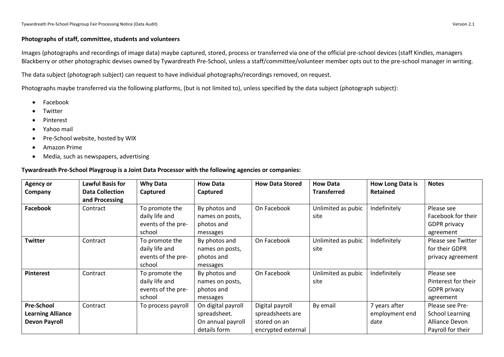#### **Photographs of staff, committee, students and volunteers**

Images (photographs and recordings of image data) maybe captured, stored, process or transferred via one of the official pre-school devices (staff Kindles, managers Blackberry or other photographic devises owned by Tywardreath Pre-School, unless a staff/committee/volunteer member opts out to the pre-school manager in writing.

The data subject (photograph subject) can request to have individual photographs/recordings removed, on request.

Photographs maybe transferred via the following platforms, (but is not limited to), unless specified by the data subject (photograph subject):

- Facebook
- **Twitter**
- Pinterest
- Yahoo mail
- Pre-School website, hosted by WIX
- Amazon Prime
- Media, such as newspapers, advertising

#### **Tywardreath Pre-School Playgroup is a Joint Data Processor with the following agencies or companies:**

| <b>Agency or</b><br>Company                                           | <b>Lawful Basis for</b><br><b>Data Collection</b><br>and Processing | <b>Why Data</b><br>Captured                                      | <b>How Data</b><br>Captured                                             | <b>How Data Stored</b>                                                    | <b>How Data</b><br><b>Transferred</b> | How Long Data is<br><b>Retained</b>     | <b>Notes</b>                                                                     |
|-----------------------------------------------------------------------|---------------------------------------------------------------------|------------------------------------------------------------------|-------------------------------------------------------------------------|---------------------------------------------------------------------------|---------------------------------------|-----------------------------------------|----------------------------------------------------------------------------------|
| <b>Facebook</b>                                                       | Contract                                                            | To promote the<br>daily life and<br>events of the pre-<br>school | By photos and<br>names on posts,<br>photos and<br>messages              | On Facebook                                                               | Unlimited as pubic<br>site            | Indefinitely                            | Please see<br>Facebook for their<br><b>GDPR</b> privacy<br>agreement             |
| <b>Twitter</b>                                                        | Contract                                                            | To promote the<br>daily life and<br>events of the pre-<br>school | By photos and<br>names on posts,<br>photos and<br>messages              | On Facebook                                                               | Unlimited as pubic<br>site            | Indefinitely                            | Please see Twitter<br>for their GDPR<br>privacy agreement                        |
| <b>Pinterest</b>                                                      | Contract                                                            | To promote the<br>daily life and<br>events of the pre-<br>school | By photos and<br>names on posts,<br>photos and<br>messages              | On Facebook                                                               | Unlimited as pubic<br>site            | Indefinitely                            | Please see<br>Pinterest for their<br><b>GDPR</b> privacy<br>agreement            |
| <b>Pre-School</b><br><b>Learning Alliance</b><br><b>Devon Payroll</b> | Contract                                                            | To process payroll                                               | On digital payroll<br>spreadsheet.<br>On annual payroll<br>details form | Digital payroll<br>spreadsheets are<br>stored on an<br>encrypted external | By email                              | 7 years after<br>employment end<br>date | Please see Pre-<br><b>School Learning</b><br>Alliance Devon<br>Payroll for their |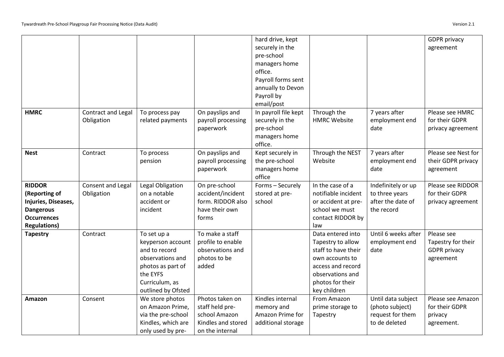|                     |                    |                    |                    | hard drive, kept     |                     |                     | <b>GDPR</b> privacy |
|---------------------|--------------------|--------------------|--------------------|----------------------|---------------------|---------------------|---------------------|
|                     |                    |                    |                    | securely in the      |                     |                     | agreement           |
|                     |                    |                    |                    | pre-school           |                     |                     |                     |
|                     |                    |                    |                    | managers home        |                     |                     |                     |
|                     |                    |                    |                    | office.              |                     |                     |                     |
|                     |                    |                    |                    | Payroll forms sent   |                     |                     |                     |
|                     |                    |                    |                    | annually to Devon    |                     |                     |                     |
|                     |                    |                    |                    | Payroll by           |                     |                     |                     |
|                     |                    |                    |                    | email/post           |                     |                     |                     |
| <b>HMRC</b>         | Contract and Legal | To process pay     | On payslips and    | In payroll file kept | Through the         | 7 years after       | Please see HMRC     |
|                     | Obligation         | related payments   | payroll processing | securely in the      | <b>HMRC Website</b> | employment end      | for their GDPR      |
|                     |                    |                    | paperwork          | pre-school           |                     | date                | privacy agreement   |
|                     |                    |                    |                    | managers home        |                     |                     |                     |
|                     |                    |                    |                    | office.              |                     |                     |                     |
| <b>Nest</b>         | Contract           | To process         | On payslips and    | Kept securely in     | Through the NEST    | 7 years after       | Please see Nest for |
|                     |                    | pension            | payroll processing | the pre-school       | Website             | employment end      | their GDPR privacy  |
|                     |                    |                    | paperwork          | managers home        |                     | date                | agreement           |
|                     |                    |                    |                    | office               |                     |                     |                     |
| <b>RIDDOR</b>       | Consent and Legal  | Legal Obligation   | On pre-school      | Forms - Securely     | In the case of a    | Indefinitely or up  | Please see RIDDOR   |
| (Reporting of       | Obligation         | on a notable       | accident/incident  | stored at pre-       | notifiable incident | to three years      | for their GDPR      |
| Injuries, Diseases, |                    | accident or        | form. RIDDOR also  | school               | or accident at pre- | after the date of   | privacy agreement   |
| <b>Dangerous</b>    |                    | incident           | have their own     |                      | school we must      | the record          |                     |
| <b>Occurrences</b>  |                    |                    | forms              |                      | contact RIDDOR by   |                     |                     |
| <b>Regulations)</b> |                    |                    |                    |                      | law                 |                     |                     |
| <b>Tapestry</b>     | Contract           | To set up a        | To make a staff    |                      | Data entered into   | Until 6 weeks after | Please see          |
|                     |                    | keyperson account  | profile to enable  |                      | Tapestry to allow   | employment end      | Tapestry for their  |
|                     |                    | and to record      | observations and   |                      | staff to have their | date                | <b>GDPR</b> privacy |
|                     |                    | observations and   | photos to be       |                      | own accounts to     |                     | agreement           |
|                     |                    | photos as part of  | added              |                      | access and record   |                     |                     |
|                     |                    | the EYFS           |                    |                      | observations and    |                     |                     |
|                     |                    | Curriculum, as     |                    |                      | photos for their    |                     |                     |
|                     |                    | outlined by Ofsted |                    |                      | key children        |                     |                     |
| Amazon              | Consent            | We store photos    | Photos taken on    | Kindles internal     | From Amazon         | Until data subject  | Please see Amazon   |
|                     |                    | on Amazon Prime,   | staff held pre-    | memory and           | prime storage to    | (photo subject)     | for their GDPR      |
|                     |                    | via the pre-school | school Amazon      | Amazon Prime for     | Tapestry            | request for them    | privacy             |
|                     |                    | Kindles, which are | Kindles and stored | additional storage   |                     | to de deleted       | agreement.          |
|                     |                    | only used by pre-  | on the internal    |                      |                     |                     |                     |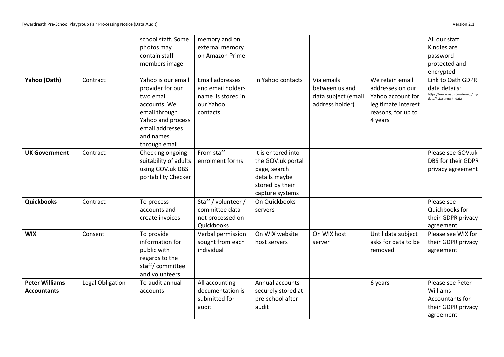|                                             |                  | school staff. Some<br>photos may<br>contain staff<br>members image                                                                                         | memory and on<br>external memory<br>on Amazon Prime                                |                                                                                                                |                                                                        |                                                                                                                  | All our staff<br>Kindles are<br>password<br>protected and<br>encrypted                         |
|---------------------------------------------|------------------|------------------------------------------------------------------------------------------------------------------------------------------------------------|------------------------------------------------------------------------------------|----------------------------------------------------------------------------------------------------------------|------------------------------------------------------------------------|------------------------------------------------------------------------------------------------------------------|------------------------------------------------------------------------------------------------|
| Yahoo (Oath)                                | Contract         | Yahoo is our email<br>provider for our<br>two email<br>accounts. We<br>email through<br>Yahoo and process<br>email addresses<br>and names<br>through email | Email addresses<br>and email holders<br>name is stored in<br>our Yahoo<br>contacts | In Yahoo contacts                                                                                              | Via emails<br>between us and<br>data subject (email<br>address holder) | We retain email<br>addresses on our<br>Yahoo account for<br>legitimate interest<br>reasons, for up to<br>4 years | Link to Oath GDPR<br>data details:<br>https://www.oath.com/en-gb/my-<br>data/#startingwithdata |
| <b>UK Government</b>                        | Contract         | Checking ongoing<br>suitability of adults<br>using GOV.uk DBS<br>portability Checker                                                                       | From staff<br>enrolment forms                                                      | It is entered into<br>the GOV.uk portal<br>page, search<br>details maybe<br>stored by their<br>capture systems |                                                                        |                                                                                                                  | Please see GOV.uk<br>DBS for their GDPR<br>privacy agreement                                   |
| Quickbooks                                  | Contract         | To process<br>accounts and<br>create invoices                                                                                                              | Staff / volunteer /<br>committee data<br>not processed on<br>Quickbooks            | On Quickbooks<br>servers                                                                                       |                                                                        |                                                                                                                  | Please see<br>Quickbooks for<br>their GDPR privacy<br>agreement                                |
| <b>WIX</b>                                  | Consent          | To provide<br>information for<br>public with<br>regards to the<br>staff/committee<br>and volunteers                                                        | Verbal permission<br>sought from each<br>individual                                | On WIX website<br>host servers                                                                                 | On WIX host<br>server                                                  | Until data subject<br>asks for data to be<br>removed                                                             | Please see WIX for<br>their GDPR privacy<br>agreement                                          |
| <b>Peter Williams</b><br><b>Accountants</b> | Legal Obligation | To audit annual<br>accounts                                                                                                                                | All accounting<br>documentation is<br>submitted for<br>audit                       | Annual accounts<br>securely stored at<br>pre-school after<br>audit                                             |                                                                        | 6 years                                                                                                          | Please see Peter<br>Williams<br>Accountants for<br>their GDPR privacy<br>agreement             |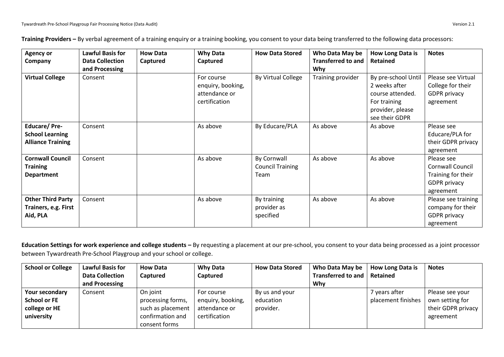| <b>Agency or</b><br>Company                                        | <b>Lawful Basis for</b><br><b>Data Collection</b><br>and Processing | <b>How Data</b><br>Captured | <b>Why Data</b><br>Captured                                       | <b>How Data Stored</b>                         | Who Data May be<br><b>Transferred to and</b><br>Why | How Long Data is<br>Retained                                                                                   | <b>Notes</b>                                                                             |
|--------------------------------------------------------------------|---------------------------------------------------------------------|-----------------------------|-------------------------------------------------------------------|------------------------------------------------|-----------------------------------------------------|----------------------------------------------------------------------------------------------------------------|------------------------------------------------------------------------------------------|
| <b>Virtual College</b>                                             | Consent                                                             |                             | For course<br>enquiry, booking,<br>attendance or<br>certification | By Virtual College                             | Training provider                                   | By pre-school Until<br>2 weeks after<br>course attended.<br>For training<br>provider, please<br>see their GDPR | Please see Virtual<br>College for their<br><b>GDPR</b> privacy<br>agreement              |
| Educare/Pre-<br><b>School Learning</b><br><b>Alliance Training</b> | Consent                                                             |                             | As above                                                          | By Educare/PLA                                 | As above                                            | As above                                                                                                       | Please see<br>Educare/PLA for<br>their GDPR privacy<br>agreement                         |
| <b>Cornwall Council</b><br><b>Training</b><br><b>Department</b>    | Consent                                                             |                             | As above                                                          | By Cornwall<br><b>Council Training</b><br>Team | As above                                            | As above                                                                                                       | Please see<br>Cornwall Council<br>Training for their<br><b>GDPR</b> privacy<br>agreement |
| <b>Other Third Party</b><br>Trainers, e.g. First<br>Aid, PLA       | Consent                                                             |                             | As above                                                          | By training<br>provider as<br>specified        | As above                                            | As above                                                                                                       | Please see training<br>company for their<br><b>GDPR</b> privacy<br>agreement             |

**Training Providers –** By verbal agreement of a training enquiry or a training booking, you consent to your data being transferred to the following data processors:

**Education Settings for work experience and college students –** By requesting a placement at our pre-school, you consent to your data being processed as a joint processor between Tywardreath Pre-School Playgroup and your school or college.

| <b>School or College</b> | <b>Lawful Basis for</b> | <b>How Data</b>   | <b>Why Data</b>   | <b>How Data Stored</b> | Who Data May be           | <b>How Long Data is</b> | <b>Notes</b>       |
|--------------------------|-------------------------|-------------------|-------------------|------------------------|---------------------------|-------------------------|--------------------|
|                          | <b>Data Collection</b>  | Captured          | Captured          |                        | <b>Transferred to and</b> | Retained                |                    |
|                          | and Processing          |                   |                   |                        | Why                       |                         |                    |
| Your secondary           | Consent                 | On joint          | For course        | By us and your         |                           | 7 years after           | Please see your    |
| <b>School or FE</b>      |                         | processing forms, | enquiry, booking, | education              |                           | placement finishes      | own setting for    |
| college or HE            |                         | such as placement | attendance or     | provider.              |                           |                         | their GDPR privacy |
| university               |                         | confirmation and  | certification     |                        |                           |                         | agreement          |
|                          |                         | consent forms     |                   |                        |                           |                         |                    |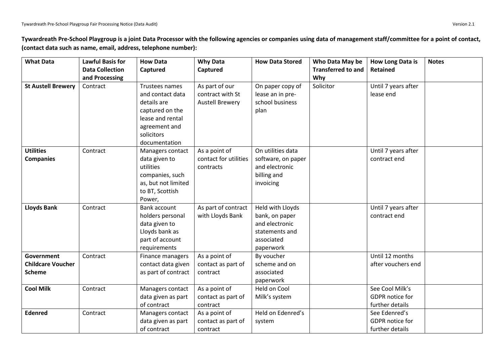**Tywardreath Pre-School Playgroup is a joint Data Processor with the following agencies or companies using data of management staff/committee for a point of contact, (contact data such as name, email, address, telephone number):**

| <b>What Data</b>          | <b>Lawful Basis for</b><br><b>Data Collection</b> | <b>How Data</b><br>Captured | <b>Why Data</b><br>Captured | <b>How Data Stored</b> | Who Data May be<br><b>Transferred to and</b> | <b>How Long Data is</b><br><b>Retained</b> | <b>Notes</b> |
|---------------------------|---------------------------------------------------|-----------------------------|-----------------------------|------------------------|----------------------------------------------|--------------------------------------------|--------------|
|                           | and Processing                                    |                             |                             |                        | Why                                          |                                            |              |
| <b>St Austell Brewery</b> | Contract                                          | Trustees names              | As part of our              | On paper copy of       | Solicitor                                    | Until 7 years after                        |              |
|                           |                                                   | and contact data            | contract with St            | lease an in pre-       |                                              | lease end                                  |              |
|                           |                                                   | details are                 | <b>Austell Brewery</b>      | school business        |                                              |                                            |              |
|                           |                                                   | captured on the             |                             | plan                   |                                              |                                            |              |
|                           |                                                   | lease and rental            |                             |                        |                                              |                                            |              |
|                           |                                                   | agreement and               |                             |                        |                                              |                                            |              |
|                           |                                                   | solicitors                  |                             |                        |                                              |                                            |              |
|                           |                                                   | documentation               |                             |                        |                                              |                                            |              |
| <b>Utilities</b>          | Contract                                          | Managers contact            | As a point of               | On utilities data      |                                              | Until 7 years after                        |              |
| <b>Companies</b>          |                                                   | data given to               | contact for utilities       | software, on paper     |                                              | contract end                               |              |
|                           |                                                   | utilities                   | contracts                   | and electronic         |                                              |                                            |              |
|                           |                                                   | companies, such             |                             | billing and            |                                              |                                            |              |
|                           |                                                   | as, but not limited         |                             | invoicing              |                                              |                                            |              |
|                           |                                                   | to BT, Scottish             |                             |                        |                                              |                                            |              |
|                           |                                                   | Power,                      |                             |                        |                                              |                                            |              |
| <b>Lloyds Bank</b>        | Contract                                          | Bank account                | As part of contract         | Held with Lloyds       |                                              | Until 7 years after                        |              |
|                           |                                                   | holders personal            | with Lloyds Bank            | bank, on paper         |                                              | contract end                               |              |
|                           |                                                   | data given to               |                             | and electronic         |                                              |                                            |              |
|                           |                                                   | Lloyds bank as              |                             | statements and         |                                              |                                            |              |
|                           |                                                   | part of account             |                             | associated             |                                              |                                            |              |
|                           |                                                   | requirements                |                             | paperwork              |                                              |                                            |              |
| Government                | Contract                                          | Finance managers            | As a point of               | By voucher             |                                              | Until 12 months                            |              |
| <b>Childcare Voucher</b>  |                                                   | contact data given          | contact as part of          | scheme and on          |                                              | after vouchers end                         |              |
| <b>Scheme</b>             |                                                   | as part of contract         | contract                    | associated             |                                              |                                            |              |
|                           |                                                   |                             |                             | paperwork              |                                              |                                            |              |
| <b>Cool Milk</b>          | Contract                                          | Managers contact            | As a point of               | Held on Cool           |                                              | See Cool Milk's                            |              |
|                           |                                                   | data given as part          | contact as part of          | Milk's system          |                                              | GDPR notice for                            |              |
|                           |                                                   | of contract                 | contract                    |                        |                                              | further details                            |              |
| <b>Edenred</b>            | Contract                                          | Managers contact            | As a point of               | Held on Edenred's      |                                              | See Edenred's                              |              |
|                           |                                                   | data given as part          | contact as part of          | system                 |                                              | GDPR notice for                            |              |
|                           |                                                   | of contract                 | contract                    |                        |                                              | further details                            |              |